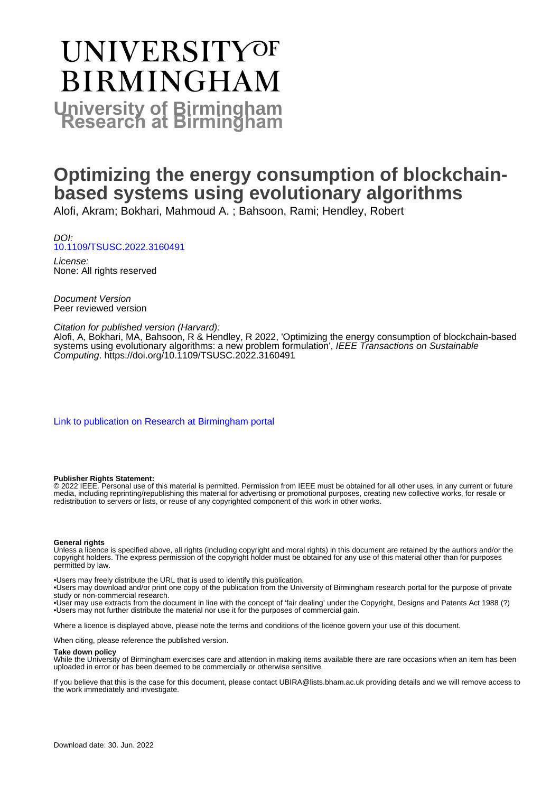# UNIVERSITYOF **BIRMINGHAM University of Birmingham**

### **Optimizing the energy consumption of blockchainbased systems using evolutionary algorithms**

Alofi, Akram; Bokhari, Mahmoud A. ; Bahsoon, Rami; Hendley, Robert

DOI: [10.1109/TSUSC.2022.3160491](https://doi.org/10.1109/TSUSC.2022.3160491)

License: None: All rights reserved

Document Version Peer reviewed version

#### Citation for published version (Harvard):

Alofi, A, Bokhari, MA, Bahsoon, R & Hendley, R 2022, 'Optimizing the energy consumption of blockchain-based systems using evolutionary algorithms: a new problem formulation', IEEE Transactions on Sustainable Computing. <https://doi.org/10.1109/TSUSC.2022.3160491>

[Link to publication on Research at Birmingham portal](https://birmingham.elsevierpure.com/en/publications/8ed91b89-5875-4104-9ecf-18581d57383d)

#### **Publisher Rights Statement:**

© 2022 IEEE. Personal use of this material is permitted. Permission from IEEE must be obtained for all other uses, in any current or future media, including reprinting/republishing this material for advertising or promotional purposes, creating new collective works, for resale or redistribution to servers or lists, or reuse of any copyrighted component of this work in other works.

#### **General rights**

Unless a licence is specified above, all rights (including copyright and moral rights) in this document are retained by the authors and/or the copyright holders. The express permission of the copyright holder must be obtained for any use of this material other than for purposes permitted by law.

• Users may freely distribute the URL that is used to identify this publication.

• Users may download and/or print one copy of the publication from the University of Birmingham research portal for the purpose of private study or non-commercial research.

• User may use extracts from the document in line with the concept of 'fair dealing' under the Copyright, Designs and Patents Act 1988 (?) • Users may not further distribute the material nor use it for the purposes of commercial gain.

Where a licence is displayed above, please note the terms and conditions of the licence govern your use of this document.

When citing, please reference the published version.

#### **Take down policy**

While the University of Birmingham exercises care and attention in making items available there are rare occasions when an item has been uploaded in error or has been deemed to be commercially or otherwise sensitive.

If you believe that this is the case for this document, please contact UBIRA@lists.bham.ac.uk providing details and we will remove access to the work immediately and investigate.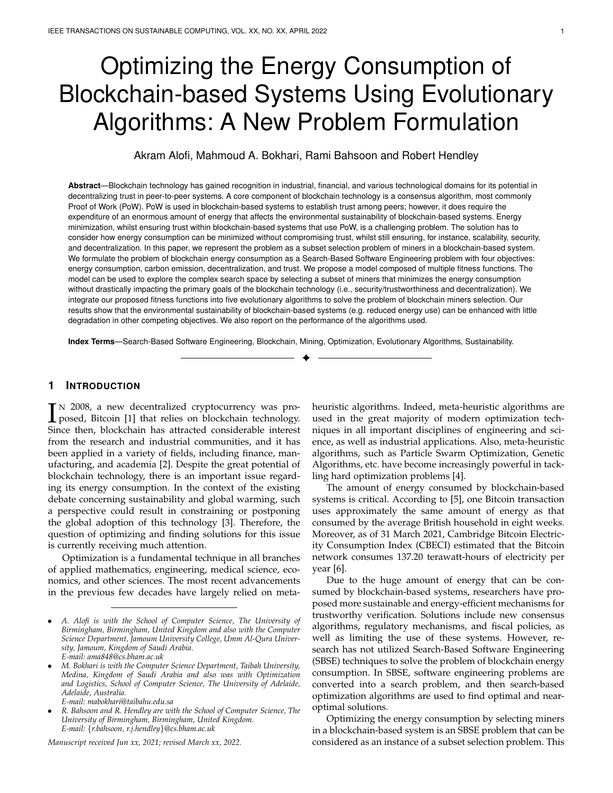## Optimizing the Energy Consumption of Blockchain-based Systems Using Evolutionary Algorithms: A New Problem Formulation

Akram Alofi, Mahmoud A. Bokhari, Rami Bahsoon and Robert Hendley

**Abstract**—Blockchain technology has gained recognition in industrial, financial, and various technological domains for its potential in decentralizing trust in peer-to-peer systems. A core component of blockchain technology is a consensus algorithm, most commonly Proof of Work (PoW). PoW is used in blockchain-based systems to establish trust among peers; however, it does require the expenditure of an enormous amount of energy that affects the environmental sustainability of blockchain-based systems. Energy minimization, whilst ensuring trust within blockchain-based systems that use PoW, is a challenging problem. The solution has to consider how energy consumption can be minimized without compromising trust, whilst still ensuring, for instance, scalability, security, and decentralization. In this paper, we represent the problem as a subset selection problem of miners in a blockchain-based system. We formulate the problem of blockchain energy consumption as a Search-Based Software Engineering problem with four objectives: energy consumption, carbon emission, decentralization, and trust. We propose a model composed of multiple fitness functions. The model can be used to explore the complex search space by selecting a subset of miners that minimizes the energy consumption without drastically impacting the primary goals of the blockchain technology (i.e., security/trustworthiness and decentralization). We integrate our proposed fitness functions into five evolutionary algorithms to solve the problem of blockchain miners selection. Our results show that the environmental sustainability of blockchain-based systems (e.g. reduced energy use) can be enhanced with little degradation in other competing objectives. We also report on the performance of the algorithms used.

**Index Terms**—Search-Based Software Engineering, Blockchain, Mining, Optimization, Evolutionary Algorithms, Sustainability.

✦

#### **1 INTRODUCTION**

IN 2008, a new decentralized cryptocurrency was pro-<br>posed, Bitcoin [1] that relies on blockchain technology.<br>Since than blockchain has attracted considerable interest posed, Bitcoin [1] that relies on blockchain technology. Since then, blockchain has attracted considerable interest from the research and industrial communities, and it has been applied in a variety of fields, including finance, manufacturing, and academia [2]. Despite the great potential of blockchain technology, there is an important issue regarding its energy consumption. In the context of the existing debate concerning sustainability and global warming, such a perspective could result in constraining or postponing the global adoption of this technology [3]. Therefore, the question of optimizing and finding solutions for this issue is currently receiving much attention.

Optimization is a fundamental technique in all branches of applied mathematics, engineering, medical science, economics, and other sciences. The most recent advancements in the previous few decades have largely relied on meta-

*E-mail: mabokhari@taibahu.edu.sa*

*Manuscript received Jun xx, 2021; revised March xx, 2022.*

heuristic algorithms. Indeed, meta-heuristic algorithms are used in the great majority of modern optimization techniques in all important disciplines of engineering and science, as well as industrial applications. Also, meta-heuristic algorithms, such as Particle Swarm Optimization, Genetic Algorithms, etc. have become increasingly powerful in tackling hard optimization problems [4].

The amount of energy consumed by blockchain-based systems is critical. According to [5], one Bitcoin transaction uses approximately the same amount of energy as that consumed by the average British household in eight weeks. Moreover, as of 31 March 2021, Cambridge Bitcoin Electricity Consumption Index (CBECI) estimated that the Bitcoin network consumes 137.20 terawatt-hours of electricity per year [6].

Due to the huge amount of energy that can be consumed by blockchain-based systems, researchers have proposed more sustainable and energy-efficient mechanisms for trustworthy verification. Solutions include new consensus algorithms, regulatory mechanisms, and fiscal policies, as well as limiting the use of these systems. However, research has not utilized Search-Based Software Engineering (SBSE) techniques to solve the problem of blockchain energy consumption. In SBSE, software engineering problems are converted into a search problem, and then search-based optimization algorithms are used to find optimal and nearoptimal solutions.

Optimizing the energy consumption by selecting miners in a blockchain-based system is an SBSE problem that can be considered as an instance of a subset selection problem. This

<sup>•</sup> *A. Alofi is with the School of Computer Science, The University of Birmingham, Birmingham, United Kingdom and also with the Computer Science Department, Jamoum University College, Umm Al-Qura University, Jamoum, Kingdom of Saudi Arabia. E-mail: ama848@cs.bham.ac.uk*

<sup>•</sup> *M. Bokhari is with the Computer Science Department, Taibah University, Medina, Kingdom of Saudi Arabia and also was with Optimization and Logistics, School of Computer Science, The University of Adelaide, Adelaide, Australia.*

<sup>•</sup> *R. Bahsoon and R. Hendley are with the School of Computer Science, The University of Birmingham, Birmingham, United Kingdom. E-mail:* {*r.bahsoon, r.j.hendley*}*@cs.bham.ac.uk*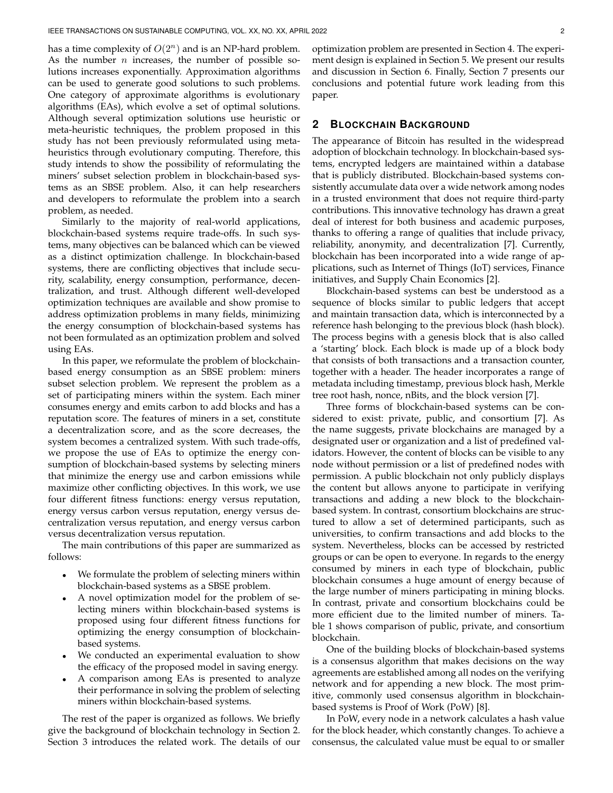has a time complexity of  $O(2^n)$  and is an NP-hard problem. As the number  $n$  increases, the number of possible solutions increases exponentially. Approximation algorithms can be used to generate good solutions to such problems. One category of approximate algorithms is evolutionary algorithms (EAs), which evolve a set of optimal solutions. Although several optimization solutions use heuristic or meta-heuristic techniques, the problem proposed in this study has not been previously reformulated using metaheuristics through evolutionary computing. Therefore, this study intends to show the possibility of reformulating the miners' subset selection problem in blockchain-based systems as an SBSE problem. Also, it can help researchers and developers to reformulate the problem into a search problem, as needed.

Similarly to the majority of real-world applications, blockchain-based systems require trade-offs. In such systems, many objectives can be balanced which can be viewed as a distinct optimization challenge. In blockchain-based systems, there are conflicting objectives that include security, scalability, energy consumption, performance, decentralization, and trust. Although different well-developed optimization techniques are available and show promise to address optimization problems in many fields, minimizing the energy consumption of blockchain-based systems has not been formulated as an optimization problem and solved using EAs.

In this paper, we reformulate the problem of blockchainbased energy consumption as an SBSE problem: miners subset selection problem. We represent the problem as a set of participating miners within the system. Each miner consumes energy and emits carbon to add blocks and has a reputation score. The features of miners in a set, constitute a decentralization score, and as the score decreases, the system becomes a centralized system. With such trade-offs, we propose the use of EAs to optimize the energy consumption of blockchain-based systems by selecting miners that minimize the energy use and carbon emissions while maximize other conflicting objectives. In this work, we use four different fitness functions: energy versus reputation, energy versus carbon versus reputation, energy versus decentralization versus reputation, and energy versus carbon versus decentralization versus reputation.

The main contributions of this paper are summarized as follows:

- We formulate the problem of selecting miners within blockchain-based systems as a SBSE problem.
- A novel optimization model for the problem of selecting miners within blockchain-based systems is proposed using four different fitness functions for optimizing the energy consumption of blockchainbased systems.
- We conducted an experimental evaluation to show the efficacy of the proposed model in saving energy.
- A comparison among EAs is presented to analyze their performance in solving the problem of selecting miners within blockchain-based systems.

The rest of the paper is organized as follows. We briefly give the background of blockchain technology in Section 2. Section 3 introduces the related work. The details of our optimization problem are presented in Section 4. The experiment design is explained in Section 5. We present our results and discussion in Section 6. Finally, Section 7 presents our conclusions and potential future work leading from this paper.

#### **2 BLOCKCHAIN BACKGROUND**

The appearance of Bitcoin has resulted in the widespread adoption of blockchain technology. In blockchain-based systems, encrypted ledgers are maintained within a database that is publicly distributed. Blockchain-based systems consistently accumulate data over a wide network among nodes in a trusted environment that does not require third-party contributions. This innovative technology has drawn a great deal of interest for both business and academic purposes, thanks to offering a range of qualities that include privacy, reliability, anonymity, and decentralization [7]. Currently, blockchain has been incorporated into a wide range of applications, such as Internet of Things (IoT) services, Finance initiatives, and Supply Chain Economics [2].

Blockchain-based systems can best be understood as a sequence of blocks similar to public ledgers that accept and maintain transaction data, which is interconnected by a reference hash belonging to the previous block (hash block). The process begins with a genesis block that is also called a 'starting' block. Each block is made up of a block body that consists of both transactions and a transaction counter, together with a header. The header incorporates a range of metadata including timestamp, previous block hash, Merkle tree root hash, nonce, nBits, and the block version [7].

Three forms of blockchain-based systems can be considered to exist: private, public, and consortium [7]. As the name suggests, private blockchains are managed by a designated user or organization and a list of predefined validators. However, the content of blocks can be visible to any node without permission or a list of predefined nodes with permission. A public blockchain not only publicly displays the content but allows anyone to participate in verifying transactions and adding a new block to the blockchainbased system. In contrast, consortium blockchains are structured to allow a set of determined participants, such as universities, to confirm transactions and add blocks to the system. Nevertheless, blocks can be accessed by restricted groups or can be open to everyone. In regards to the energy consumed by miners in each type of blockchain, public blockchain consumes a huge amount of energy because of the large number of miners participating in mining blocks. In contrast, private and consortium blockchains could be more efficient due to the limited number of miners. Table 1 shows comparison of public, private, and consortium blockchain.

One of the building blocks of blockchain-based systems is a consensus algorithm that makes decisions on the way agreements are established among all nodes on the verifying network and for appending a new block. The most primitive, commonly used consensus algorithm in blockchainbased systems is Proof of Work (PoW) [8].

In PoW, every node in a network calculates a hash value for the block header, which constantly changes. To achieve a consensus, the calculated value must be equal to or smaller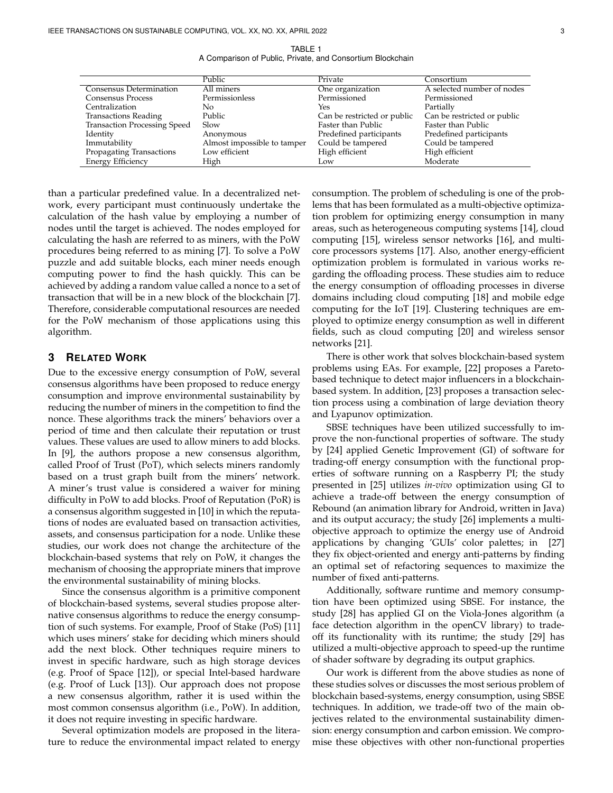TABLE 1 A Comparison of Public, Private, and Consortium Blockchain

| Public                      | Private                     | Consortium                  |
|-----------------------------|-----------------------------|-----------------------------|
| All miners                  | One organization            | A selected number of nodes  |
| Permissionless              | Permissioned                | Permissioned                |
| No                          | Yes                         | Partially                   |
| Public                      | Can be restricted or public | Can be restricted or public |
| Slow                        | Faster than Public          | Faster than Public          |
| Anonymous                   | Predefined participants     | Predefined participants     |
| Almost impossible to tamper | Could be tampered           | Could be tampered           |
| Low efficient               | High efficient              | High efficient              |
| High                        | Low                         | Moderate                    |
|                             |                             |                             |

than a particular predefined value. In a decentralized network, every participant must continuously undertake the calculation of the hash value by employing a number of nodes until the target is achieved. The nodes employed for calculating the hash are referred to as miners, with the PoW procedures being referred to as mining [7]. To solve a PoW puzzle and add suitable blocks, each miner needs enough computing power to find the hash quickly. This can be achieved by adding a random value called a nonce to a set of transaction that will be in a new block of the blockchain [7]. Therefore, considerable computational resources are needed for the PoW mechanism of those applications using this algorithm.

#### **3 RELATED WORK**

Due to the excessive energy consumption of PoW, several consensus algorithms have been proposed to reduce energy consumption and improve environmental sustainability by reducing the number of miners in the competition to find the nonce. These algorithms track the miners' behaviors over a period of time and then calculate their reputation or trust values. These values are used to allow miners to add blocks. In [9], the authors propose a new consensus algorithm, called Proof of Trust (PoT), which selects miners randomly based on a trust graph built from the miners' network. A miner's trust value is considered a waiver for mining difficulty in PoW to add blocks. Proof of Reputation (PoR) is a consensus algorithm suggested in [10] in which the reputations of nodes are evaluated based on transaction activities, assets, and consensus participation for a node. Unlike these studies, our work does not change the architecture of the blockchain-based systems that rely on PoW, it changes the mechanism of choosing the appropriate miners that improve the environmental sustainability of mining blocks.

Since the consensus algorithm is a primitive component of blockchain-based systems, several studies propose alternative consensus algorithms to reduce the energy consumption of such systems. For example, Proof of Stake (PoS) [11] which uses miners' stake for deciding which miners should add the next block. Other techniques require miners to invest in specific hardware, such as high storage devices (e.g. Proof of Space [12]), or special Intel-based hardware (e.g. Proof of Luck [13]). Our approach does not propose a new consensus algorithm, rather it is used within the most common consensus algorithm (i.e., PoW). In addition, it does not require investing in specific hardware.

Several optimization models are proposed in the literature to reduce the environmental impact related to energy consumption. The problem of scheduling is one of the problems that has been formulated as a multi-objective optimization problem for optimizing energy consumption in many areas, such as heterogeneous computing systems [14], cloud computing [15], wireless sensor networks [16], and multicore processors systems [17]. Also, another energy-efficient optimization problem is formulated in various works regarding the offloading process. These studies aim to reduce the energy consumption of offloading processes in diverse domains including cloud computing [18] and mobile edge computing for the IoT [19]. Clustering techniques are employed to optimize energy consumption as well in different fields, such as cloud computing [20] and wireless sensor networks [21].

There is other work that solves blockchain-based system problems using EAs. For example, [22] proposes a Paretobased technique to detect major influencers in a blockchainbased system. In addition, [23] proposes a transaction selection process using a combination of large deviation theory and Lyapunov optimization.

SBSE techniques have been utilized successfully to improve the non-functional properties of software. The study by [24] applied Genetic Improvement (GI) of software for trading-off energy consumption with the functional properties of software running on a Raspberry PI; the study presented in [25] utilizes *in-vivo* optimization using GI to achieve a trade-off between the energy consumption of Rebound (an animation library for Android, written in Java) and its output accuracy; the study [26] implements a multiobjective approach to optimize the energy use of Android applications by changing 'GUIs' color palettes; in [27] they fix object-oriented and energy anti-patterns by finding an optimal set of refactoring sequences to maximize the number of fixed anti-patterns.

Additionally, software runtime and memory consumption have been optimized using SBSE. For instance, the study [28] has applied GI on the Viola-Jones algorithm (a face detection algorithm in the openCV library) to tradeoff its functionality with its runtime; the study [29] has utilized a multi-objective approach to speed-up the runtime of shader software by degrading its output graphics.

Our work is different from the above studies as none of these studies solves or discusses the most serious problem of blockchain based-systems, energy consumption, using SBSE techniques. In addition, we trade-off two of the main objectives related to the environmental sustainability dimension: energy consumption and carbon emission. We compromise these objectives with other non-functional properties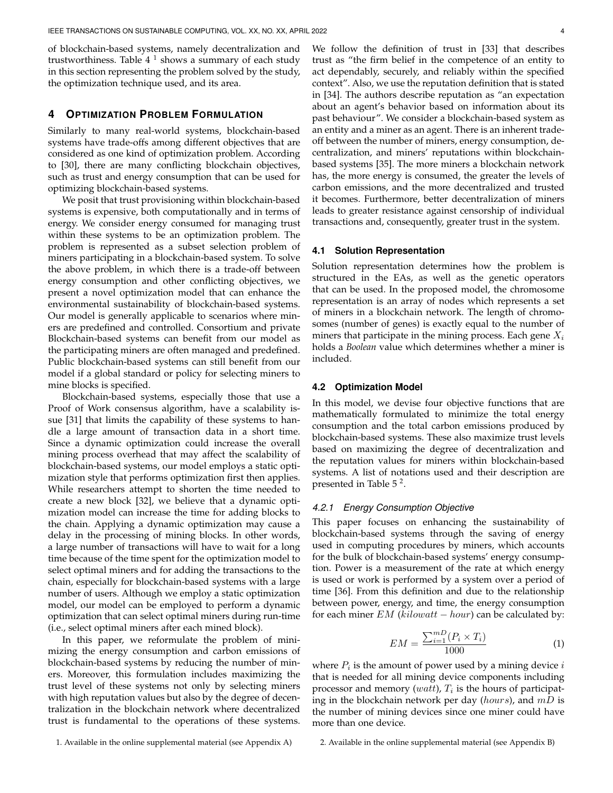of blockchain-based systems, namely decentralization and trustworthiness. Table 4  $^{\text{1}}$  shows a summary of each study in this section representing the problem solved by the study, the optimization technique used, and its area.

#### **4 OPTIMIZATION PROBLEM FORMULATION**

Similarly to many real-world systems, blockchain-based systems have trade-offs among different objectives that are considered as one kind of optimization problem. According to [30], there are many conflicting blockchain objectives, such as trust and energy consumption that can be used for optimizing blockchain-based systems.

We posit that trust provisioning within blockchain-based systems is expensive, both computationally and in terms of energy. We consider energy consumed for managing trust within these systems to be an optimization problem. The problem is represented as a subset selection problem of miners participating in a blockchain-based system. To solve the above problem, in which there is a trade-off between energy consumption and other conflicting objectives, we present a novel optimization model that can enhance the environmental sustainability of blockchain-based systems. Our model is generally applicable to scenarios where miners are predefined and controlled. Consortium and private Blockchain-based systems can benefit from our model as the participating miners are often managed and predefined. Public blockchain-based systems can still benefit from our model if a global standard or policy for selecting miners to mine blocks is specified.

Blockchain-based systems, especially those that use a Proof of Work consensus algorithm, have a scalability issue [31] that limits the capability of these systems to handle a large amount of transaction data in a short time. Since a dynamic optimization could increase the overall mining process overhead that may affect the scalability of blockchain-based systems, our model employs a static optimization style that performs optimization first then applies. While researchers attempt to shorten the time needed to create a new block [32], we believe that a dynamic optimization model can increase the time for adding blocks to the chain. Applying a dynamic optimization may cause a delay in the processing of mining blocks. In other words, a large number of transactions will have to wait for a long time because of the time spent for the optimization model to select optimal miners and for adding the transactions to the chain, especially for blockchain-based systems with a large number of users. Although we employ a static optimization model, our model can be employed to perform a dynamic optimization that can select optimal miners during run-time (i.e., select optimal miners after each mined block).

In this paper, we reformulate the problem of minimizing the energy consumption and carbon emissions of blockchain-based systems by reducing the number of miners. Moreover, this formulation includes maximizing the trust level of these systems not only by selecting miners with high reputation values but also by the degree of decentralization in the blockchain network where decentralized trust is fundamental to the operations of these systems.

We follow the definition of trust in [33] that describes trust as "the firm belief in the competence of an entity to act dependably, securely, and reliably within the specified context". Also, we use the reputation definition that is stated in [34]. The authors describe reputation as "an expectation about an agent's behavior based on information about its past behaviour". We consider a blockchain-based system as an entity and a miner as an agent. There is an inherent tradeoff between the number of miners, energy consumption, decentralization, and miners' reputations within blockchainbased systems [35]. The more miners a blockchain network has, the more energy is consumed, the greater the levels of carbon emissions, and the more decentralized and trusted it becomes. Furthermore, better decentralization of miners leads to greater resistance against censorship of individual transactions and, consequently, greater trust in the system.

#### **4.1 Solution Representation**

Solution representation determines how the problem is structured in the EAs, as well as the genetic operators that can be used. In the proposed model, the chromosome representation is an array of nodes which represents a set of miners in a blockchain network. The length of chromosomes (number of genes) is exactly equal to the number of miners that participate in the mining process. Each gene  $X_i$ holds a *Boolean* value which determines whether a miner is included.

#### **4.2 Optimization Model**

In this model, we devise four objective functions that are mathematically formulated to minimize the total energy consumption and the total carbon emissions produced by blockchain-based systems. These also maximize trust levels based on maximizing the degree of decentralization and the reputation values for miners within blockchain-based systems. A list of notations used and their description are presented in Table 5<sup>2</sup>.

#### *4.2.1 Energy Consumption Objective*

This paper focuses on enhancing the sustainability of blockchain-based systems through the saving of energy used in computing procedures by miners, which accounts for the bulk of blockchain-based systems' energy consumption. Power is a measurement of the rate at which energy is used or work is performed by a system over a period of time [36]. From this definition and due to the relationship between power, energy, and time, the energy consumption for each miner  $EM$  (kilowatt – hour) can be calculated by:

$$
EM = \frac{\sum_{i=1}^{m} (P_i \times T_i)}{1000}
$$
 (1)

where  $P_i$  is the amount of power used by a mining device  $i$ that is needed for all mining device components including processor and memory (*watt*),  $T_i$  is the hours of participating in the blockchain network per day (hours), and  $mD$  is the number of mining devices since one miner could have more than one device.

2. Available in the online supplemental material (see Appendix B)

<sup>1.</sup> Available in the online supplemental material (see Appendix A)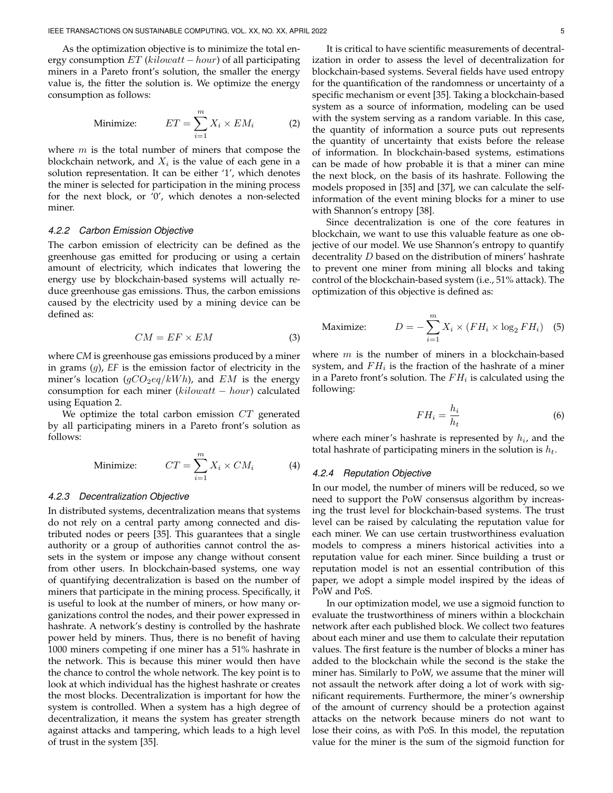As the optimization objective is to minimize the total energy consumption  $ET$  (kilowatt – hour) of all participating miners in a Pareto front's solution, the smaller the energy value is, the fitter the solution is. We optimize the energy consumption as follows:

Minimize: 
$$
ET = \sum_{i=1}^{m} X_i \times EM_i
$$
 (2)

where  $m$  is the total number of miners that compose the blockchain network, and  $X_i$  is the value of each gene in a solution representation. It can be either '1', which denotes the miner is selected for participation in the mining process for the next block, or '0', which denotes a non-selected miner.

#### *4.2.2 Carbon Emission Objective*

The carbon emission of electricity can be defined as the greenhouse gas emitted for producing or using a certain amount of electricity, which indicates that lowering the energy use by blockchain-based systems will actually reduce greenhouse gas emissions. Thus, the carbon emissions caused by the electricity used by a mining device can be defined as:

$$
CM = EF \times EM \tag{3}
$$

where *CM* is greenhouse gas emissions produced by a miner in grams (g), *EF* is the emission factor of electricity in the miner's location  $(gCO_2eq/kWh)$ , and EM is the energy consumption for each miner (kilowatt − hour) calculated using Equation 2.

We optimize the total carbon emission CT generated by all participating miners in a Pareto front's solution as follows:

Minimize: 
$$
CT = \sum_{i=1}^{m} X_i \times CM_i
$$
 (4)

#### *4.2.3 Decentralization Objective*

In distributed systems, decentralization means that systems do not rely on a central party among connected and distributed nodes or peers [35]. This guarantees that a single authority or a group of authorities cannot control the assets in the system or impose any change without consent from other users. In blockchain-based systems, one way of quantifying decentralization is based on the number of miners that participate in the mining process. Specifically, it is useful to look at the number of miners, or how many organizations control the nodes, and their power expressed in hashrate. A network's destiny is controlled by the hashrate power held by miners. Thus, there is no benefit of having 1000 miners competing if one miner has a 51% hashrate in the network. This is because this miner would then have the chance to control the whole network. The key point is to look at which individual has the highest hashrate or creates the most blocks. Decentralization is important for how the system is controlled. When a system has a high degree of decentralization, it means the system has greater strength against attacks and tampering, which leads to a high level of trust in the system [35].

It is critical to have scientific measurements of decentralization in order to assess the level of decentralization for blockchain-based systems. Several fields have used entropy for the quantification of the randomness or uncertainty of a specific mechanism or event [35]. Taking a blockchain-based system as a source of information, modeling can be used with the system serving as a random variable. In this case, the quantity of information a source puts out represents the quantity of uncertainty that exists before the release of information. In blockchain-based systems, estimations can be made of how probable it is that a miner can mine the next block, on the basis of its hashrate. Following the models proposed in [35] and [37], we can calculate the selfinformation of the event mining blocks for a miner to use with Shannon's entropy [38].

Since decentralization is one of the core features in blockchain, we want to use this valuable feature as one objective of our model. We use Shannon's entropy to quantify decentrality  $D$  based on the distribution of miners' hashrate to prevent one miner from mining all blocks and taking control of the blockchain-based system (i.e., 51% attack). The optimization of this objective is defined as:

$$
\text{Maximize:} \qquad \qquad D = -\sum_{i=1}^{m} X_i \times (FH_i \times \log_2 FH_i) \quad \text{(5)}
$$

where  $m$  is the number of miners in a blockchain-based system, and  $FH_i$  is the fraction of the hashrate of a miner in a Pareto front's solution. The  $FH_i$  is calculated using the following:

$$
FH_i = \frac{h_i}{h_t} \tag{6}
$$

where each miner's hashrate is represented by  $h_i$ , and the total hashrate of participating miners in the solution is  $h_t$ .

#### *4.2.4 Reputation Objective*

In our model, the number of miners will be reduced, so we need to support the PoW consensus algorithm by increasing the trust level for blockchain-based systems. The trust level can be raised by calculating the reputation value for each miner. We can use certain trustworthiness evaluation models to compress a miners historical activities into a reputation value for each miner. Since building a trust or reputation model is not an essential contribution of this paper, we adopt a simple model inspired by the ideas of PoW and PoS.

In our optimization model, we use a sigmoid function to evaluate the trustworthiness of miners within a blockchain network after each published block. We collect two features about each miner and use them to calculate their reputation values. The first feature is the number of blocks a miner has added to the blockchain while the second is the stake the miner has. Similarly to PoW, we assume that the miner will not assault the network after doing a lot of work with significant requirements. Furthermore, the miner's ownership of the amount of currency should be a protection against attacks on the network because miners do not want to lose their coins, as with PoS. In this model, the reputation value for the miner is the sum of the sigmoid function for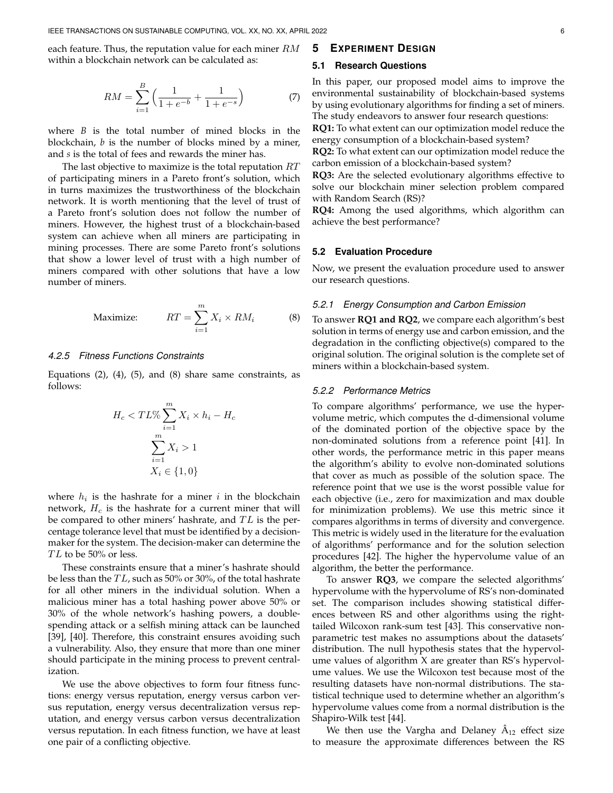each feature. Thus, the reputation value for each miner  $RM$ within a blockchain network can be calculated as:

$$
RM = \sum_{i=1}^{B} \left( \frac{1}{1 + e^{-b}} + \frac{1}{1 + e^{-s}} \right) \tag{7}
$$

where *B* is the total number of mined blocks in the blockchain, *b* is the number of blocks mined by a miner, and *s* is the total of fees and rewards the miner has.

The last objective to maximize is the total reputation  $RT$ of participating miners in a Pareto front's solution, which in turns maximizes the trustworthiness of the blockchain network. It is worth mentioning that the level of trust of a Pareto front's solution does not follow the number of miners. However, the highest trust of a blockchain-based system can achieve when all miners are participating in mining processes. There are some Pareto front's solutions that show a lower level of trust with a high number of miners compared with other solutions that have a low number of miners.

$$
\text{Maximize:} \qquad RT = \sum_{i=1}^{m} X_i \times RM_i \tag{8}
$$

#### *4.2.5 Fitness Functions Constraints*

Equations  $(2)$ ,  $(4)$ ,  $(5)$ , and  $(8)$  share same constraints, as follows:

$$
H_c < TL\% \sum_{i=1}^{m} X_i \times h_i - H_c
$$
\n
$$
\sum_{i=1}^{m} X_i > 1
$$
\n
$$
X_i \in \{1, 0\}
$$

where  $h_i$  is the hashrate for a miner i in the blockchain network,  $H_c$  is the hashrate for a current miner that will be compared to other miners' hashrate, and  $TL$  is the percentage tolerance level that must be identified by a decisionmaker for the system. The decision-maker can determine the  $TL$  to be 50% or less.

These constraints ensure that a miner's hashrate should be less than the  $TL$ , such as 50% or 30%, of the total hashrate for all other miners in the individual solution. When a malicious miner has a total hashing power above 50% or 30% of the whole network's hashing powers, a doublespending attack or a selfish mining attack can be launched [39], [40]. Therefore, this constraint ensures avoiding such a vulnerability. Also, they ensure that more than one miner should participate in the mining process to prevent centralization.

We use the above objectives to form four fitness functions: energy versus reputation, energy versus carbon versus reputation, energy versus decentralization versus reputation, and energy versus carbon versus decentralization versus reputation. In each fitness function, we have at least one pair of a conflicting objective.

#### **5 EXPERIMENT DESIGN**

#### **5.1 Research Questions**

In this paper, our proposed model aims to improve the environmental sustainability of blockchain-based systems by using evolutionary algorithms for finding a set of miners. The study endeavors to answer four research questions:

**RQ1:** To what extent can our optimization model reduce the energy consumption of a blockchain-based system?

**RQ2:** To what extent can our optimization model reduce the carbon emission of a blockchain-based system?

**RQ3:** Are the selected evolutionary algorithms effective to solve our blockchain miner selection problem compared with Random Search (RS)?

**RQ4:** Among the used algorithms, which algorithm can achieve the best performance?

#### **5.2 Evaluation Procedure**

Now, we present the evaluation procedure used to answer our research questions.

#### *5.2.1 Energy Consumption and Carbon Emission*

To answer **RQ1 and RQ2**, we compare each algorithm's best solution in terms of energy use and carbon emission, and the degradation in the conflicting objective(s) compared to the original solution. The original solution is the complete set of miners within a blockchain-based system.

#### *5.2.2 Performance Metrics*

To compare algorithms' performance, we use the hypervolume metric, which computes the d-dimensional volume of the dominated portion of the objective space by the non-dominated solutions from a reference point [41]. In other words, the performance metric in this paper means the algorithm's ability to evolve non-dominated solutions that cover as much as possible of the solution space. The reference point that we use is the worst possible value for each objective (i.e., zero for maximization and max double for minimization problems). We use this metric since it compares algorithms in terms of diversity and convergence. This metric is widely used in the literature for the evaluation of algorithms' performance and for the solution selection procedures [42]. The higher the hypervolume value of an algorithm, the better the performance.

To answer **RQ3**, we compare the selected algorithms' hypervolume with the hypervolume of RS's non-dominated set. The comparison includes showing statistical differences between RS and other algorithms using the righttailed Wilcoxon rank-sum test [43]. This conservative nonparametric test makes no assumptions about the datasets' distribution. The null hypothesis states that the hypervolume values of algorithm X are greater than RS's hypervolume values. We use the Wilcoxon test because most of the resulting datasets have non-normal distributions. The statistical technique used to determine whether an algorithm's hypervolume values come from a normal distribution is the Shapiro-Wilk test [44].

We then use the Vargha and Delaney  $\hat{A}_{12}$  effect size to measure the approximate differences between the RS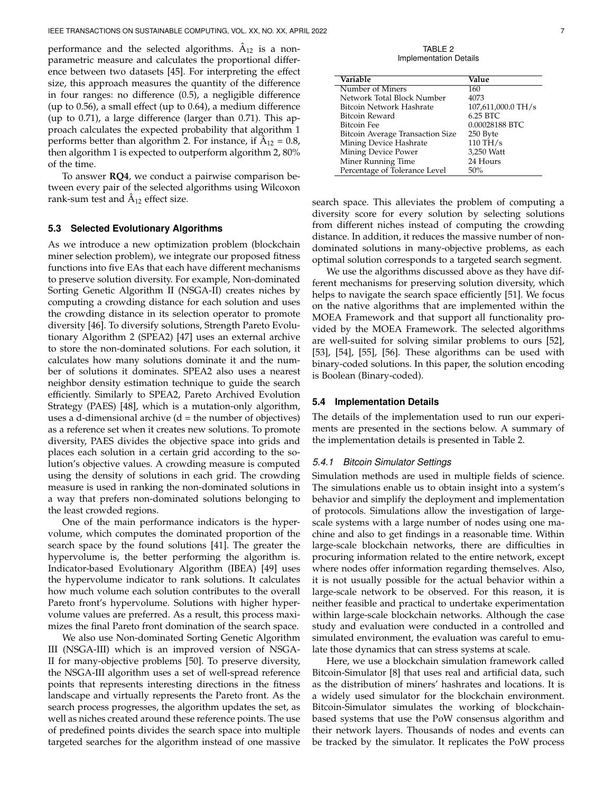performance and the selected algorithms.  $\hat{A}_{12}$  is a nonparametric measure and calculates the proportional difference between two datasets [45]. For interpreting the effect size, this approach measures the quantity of the difference in four ranges: no difference (0.5), a negligible difference (up to 0.56), a small effect (up to 0.64), a medium difference (up to 0.71), a large difference (larger than 0.71). This approach calculates the expected probability that algorithm 1 performs better than algorithm 2. For instance, if  $\hat{A}_{12} = 0.8$ , then algorithm 1 is expected to outperform algorithm 2, 80% of the time.

To answer **RQ4**, we conduct a pairwise comparison between every pair of the selected algorithms using Wilcoxon rank-sum test and  $\hat{A}_{12}$  effect size.

#### **5.3 Selected Evolutionary Algorithms**

As we introduce a new optimization problem (blockchain miner selection problem), we integrate our proposed fitness functions into five EAs that each have different mechanisms to preserve solution diversity. For example, Non-dominated Sorting Genetic Algorithm II (NSGA-II) creates niches by computing a crowding distance for each solution and uses the crowding distance in its selection operator to promote diversity [46]. To diversify solutions, Strength Pareto Evolutionary Algorithm 2 (SPEA2) [47] uses an external archive to store the non-dominated solutions. For each solution, it calculates how many solutions dominate it and the number of solutions it dominates. SPEA2 also uses a nearest neighbor density estimation technique to guide the search efficiently. Similarly to SPEA2, Pareto Archived Evolution Strategy (PAES) [48], which is a mutation-only algorithm, uses a d-dimensional archive  $(d = the number of objectives)$ as a reference set when it creates new solutions. To promote diversity, PAES divides the objective space into grids and places each solution in a certain grid according to the solution's objective values. A crowding measure is computed using the density of solutions in each grid. The crowding measure is used in ranking the non-dominated solutions in a way that prefers non-dominated solutions belonging to the least crowded regions.

One of the main performance indicators is the hypervolume, which computes the dominated proportion of the search space by the found solutions [41]. The greater the hypervolume is, the better performing the algorithm is. Indicator-based Evolutionary Algorithm (IBEA) [49] uses the hypervolume indicator to rank solutions. It calculates how much volume each solution contributes to the overall Pareto front's hypervolume. Solutions with higher hypervolume values are preferred. As a result, this process maximizes the final Pareto front domination of the search space.

We also use Non-dominated Sorting Genetic Algorithm III (NSGA-III) which is an improved version of NSGA-II for many-objective problems [50]. To preserve diversity, the NSGA-III algorithm uses a set of well-spread reference points that represents interesting directions in the fitness landscape and virtually represents the Pareto front. As the search process progresses, the algorithm updates the set, as well as niches created around these reference points. The use of predefined points divides the search space into multiple targeted searches for the algorithm instead of one massive

TABLE 2 Implementation Details

| Variable                         | Value              |
|----------------------------------|--------------------|
| Number of Miners                 | 160                |
| Network Total Block Number       | 4073               |
| Bitcoin Network Hashrate         | 107,611,000.0 TH/s |
| Bitcoin Reward                   | 6.25 BTC           |
| Bitcoin Fee                      | 0.00028188 BTC     |
| Bitcoin Average Transaction Size | 250 Byte           |
| Mining Device Hashrate           | $110$ TH/s         |
| Mining Device Power              | 3,250 Watt         |
| Miner Running Time               | 24 Hours           |
| Percentage of Tolerance Level    | 50%                |

search space. This alleviates the problem of computing a diversity score for every solution by selecting solutions from different niches instead of computing the crowding distance. In addition, it reduces the massive number of nondominated solutions in many-objective problems, as each optimal solution corresponds to a targeted search segment.

We use the algorithms discussed above as they have different mechanisms for preserving solution diversity, which helps to navigate the search space efficiently [51]. We focus on the native algorithms that are implemented within the MOEA Framework and that support all functionality provided by the MOEA Framework. The selected algorithms are well-suited for solving similar problems to ours [52], [53], [54], [55], [56]. These algorithms can be used with binary-coded solutions. In this paper, the solution encoding is Boolean (Binary-coded).

#### **5.4 Implementation Details**

The details of the implementation used to run our experiments are presented in the sections below. A summary of the implementation details is presented in Table 2.

#### *5.4.1 Bitcoin Simulator Settings*

Simulation methods are used in multiple fields of science. The simulations enable us to obtain insight into a system's behavior and simplify the deployment and implementation of protocols. Simulations allow the investigation of largescale systems with a large number of nodes using one machine and also to get findings in a reasonable time. Within large-scale blockchain networks, there are difficulties in procuring information related to the entire network, except where nodes offer information regarding themselves. Also, it is not usually possible for the actual behavior within a large-scale network to be observed. For this reason, it is neither feasible and practical to undertake experimentation within large-scale blockchain networks. Although the case study and evaluation were conducted in a controlled and simulated environment, the evaluation was careful to emulate those dynamics that can stress systems at scale.

Here, we use a blockchain simulation framework called Bitcoin-Simulator [8] that uses real and artificial data, such as the distribution of miners' hashrates and locations. It is a widely used simulator for the blockchain environment. Bitcoin-Simulator simulates the working of blockchainbased systems that use the PoW consensus algorithm and their network layers. Thousands of nodes and events can be tracked by the simulator. It replicates the PoW process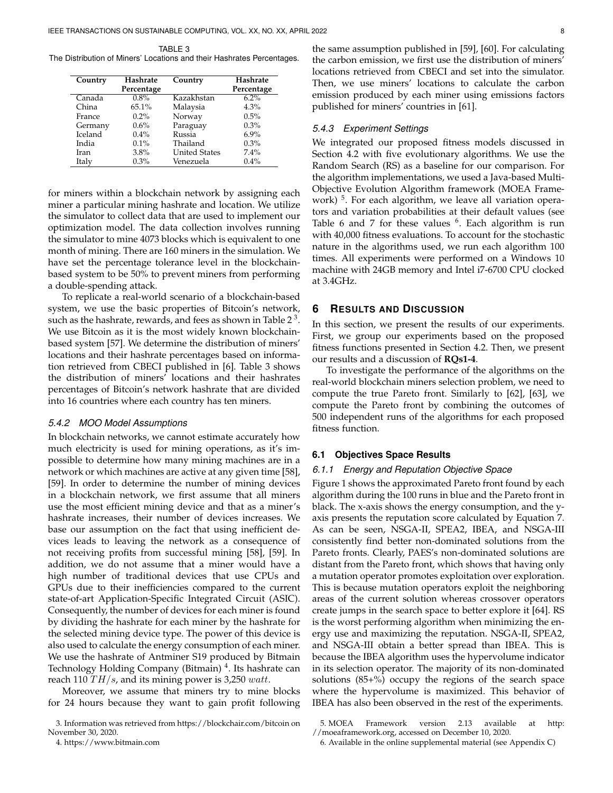TABLE 3 The Distribution of Miners' Locations and their Hashrates Percentages.

| Country | Hashrate<br>Percentage | Country              | Hashrate<br>Percentage |  |
|---------|------------------------|----------------------|------------------------|--|
| Canada  | 0.8%                   | Kazakhstan           | 6.2%                   |  |
| China   | 65.1%                  | Malaysia             | 4.3%                   |  |
| France  | $0.2\%$                | Norway               | 0.5%                   |  |
| Germany | 0.6%                   | Paraguay             | 0.3%                   |  |
| Iceland | $0.4\%$                | Russia               | $6.9\%$                |  |
| India   | $0.1\%$                | Thailand             | 0.3%                   |  |
| Iran    | 3.8%                   | <b>United States</b> | 7.4%                   |  |
| Italy   | $0.3\%$                | Venezuela            | 0.4%                   |  |

for miners within a blockchain network by assigning each miner a particular mining hashrate and location. We utilize the simulator to collect data that are used to implement our optimization model. The data collection involves running the simulator to mine 4073 blocks which is equivalent to one month of mining. There are 160 miners in the simulation. We have set the percentage tolerance level in the blockchainbased system to be 50% to prevent miners from performing a double-spending attack.

To replicate a real-world scenario of a blockchain-based system, we use the basic properties of Bitcoin's network, such as the hashrate, rewards, and fees as shown in Table 2  $^3$  . We use Bitcoin as it is the most widely known blockchainbased system [57]. We determine the distribution of miners' locations and their hashrate percentages based on information retrieved from CBECI published in [6]. Table 3 shows the distribution of miners' locations and their hashrates percentages of Bitcoin's network hashrate that are divided into 16 countries where each country has ten miners.

#### *5.4.2 MOO Model Assumptions*

In blockchain networks, we cannot estimate accurately how much electricity is used for mining operations, as it's impossible to determine how many mining machines are in a network or which machines are active at any given time [58], [59]. In order to determine the number of mining devices in a blockchain network, we first assume that all miners use the most efficient mining device and that as a miner's hashrate increases, their number of devices increases. We base our assumption on the fact that using inefficient devices leads to leaving the network as a consequence of not receiving profits from successful mining [58], [59]. In addition, we do not assume that a miner would have a high number of traditional devices that use CPUs and GPUs due to their inefficiencies compared to the current state-of-art Application-Specific Integrated Circuit (ASIC). Consequently, the number of devices for each miner is found by dividing the hashrate for each miner by the hashrate for the selected mining device type. The power of this device is also used to calculate the energy consumption of each miner. We use the hashrate of Antminer S19 produced by Bitmain Technology Holding Company (Bitmain)<sup>4</sup>. Its hashrate can reach 110  $TH/s$ , and its mining power is 3,250 watt.

Moreover, we assume that miners try to mine blocks for 24 hours because they want to gain profit following

4. https://www.bitmain.com

the same assumption published in [59], [60]. For calculating the carbon emission, we first use the distribution of miners' locations retrieved from CBECI and set into the simulator. Then, we use miners' locations to calculate the carbon emission produced by each miner using emissions factors published for miners' countries in [61].

#### *5.4.3 Experiment Settings*

We integrated our proposed fitness models discussed in Section 4.2 with five evolutionary algorithms. We use the Random Search (RS) as a baseline for our comparison. For the algorithm implementations, we used a Java-based Multi-Objective Evolution Algorithm framework (MOEA Framework)<sup>5</sup>. For each algorithm, we leave all variation operators and variation probabilities at their default values (see Table 6 and 7 for these values  $6$ . Each algorithm is run with 40,000 fitness evaluations. To account for the stochastic nature in the algorithms used, we run each algorithm 100 times. All experiments were performed on a Windows 10 machine with 24GB memory and Intel i7-6700 CPU clocked at 3.4GHz.

#### **6 RESULTS AND DISCUSSION**

In this section, we present the results of our experiments. First, we group our experiments based on the proposed fitness functions presented in Section 4.2. Then, we present our results and a discussion of **RQs1-4**.

To investigate the performance of the algorithms on the real-world blockchain miners selection problem, we need to compute the true Pareto front. Similarly to [62], [63], we compute the Pareto front by combining the outcomes of 500 independent runs of the algorithms for each proposed fitness function.

#### **6.1 Objectives Space Results**

#### *6.1.1 Energy and Reputation Objective Space*

Figure 1 shows the approximated Pareto front found by each algorithm during the 100 runs in blue and the Pareto front in black. The x-axis shows the energy consumption, and the yaxis presents the reputation score calculated by Equation 7. As can be seen, NSGA-II, SPEA2, IBEA, and NSGA-III consistently find better non-dominated solutions from the Pareto fronts. Clearly, PAES's non-dominated solutions are distant from the Pareto front, which shows that having only a mutation operator promotes exploitation over exploration. This is because mutation operators exploit the neighboring areas of the current solution whereas crossover operators create jumps in the search space to better explore it [64]. RS is the worst performing algorithm when minimizing the energy use and maximizing the reputation. NSGA-II, SPEA2, and NSGA-III obtain a better spread than IBEA. This is because the IBEA algorithm uses the hypervolume indicator in its selection operator. The majority of its non-dominated solutions (85+%) occupy the regions of the search space where the hypervolume is maximized. This behavior of IBEA has also been observed in the rest of the experiments.

<sup>3.</sup> Information was retrieved from https://blockchair.com/bitcoin on November 30, 2020.

<sup>5.</sup> MOEA Framework version 2.13 available at http: //moeaframework.org, accessed on December 10, 2020.

<sup>6.</sup> Available in the online supplemental material (see Appendix C)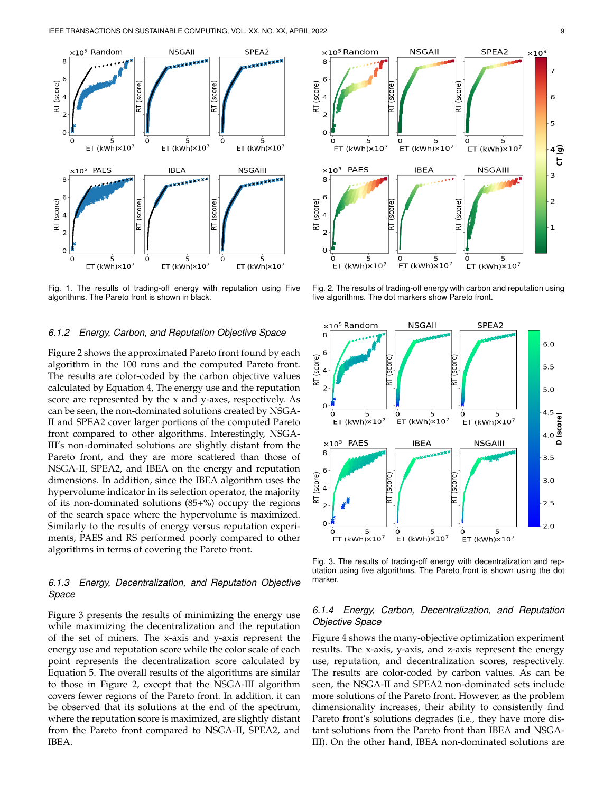

Fig. 1. The results of trading-off energy with reputation using Five algorithms. The Pareto front is shown in black.

#### *6.1.2 Energy, Carbon, and Reputation Objective Space*

Figure 2 shows the approximated Pareto front found by each algorithm in the 100 runs and the computed Pareto front. The results are color-coded by the carbon objective values calculated by Equation 4, The energy use and the reputation score are represented by the x and y-axes, respectively. As can be seen, the non-dominated solutions created by NSGA-II and SPEA2 cover larger portions of the computed Pareto front compared to other algorithms. Interestingly, NSGA-III's non-dominated solutions are slightly distant from the Pareto front, and they are more scattered than those of NSGA-II, SPEA2, and IBEA on the energy and reputation dimensions. In addition, since the IBEA algorithm uses the hypervolume indicator in its selection operator, the majority of its non-dominated solutions  $(85+%)$  occupy the regions of the search space where the hypervolume is maximized. Similarly to the results of energy versus reputation experiments, PAES and RS performed poorly compared to other algorithms in terms of covering the Pareto front.

#### *6.1.3 Energy, Decentralization, and Reputation Objective Space*

Figure 3 presents the results of minimizing the energy use while maximizing the decentralization and the reputation of the set of miners. The x-axis and y-axis represent the energy use and reputation score while the color scale of each point represents the decentralization score calculated by Equation 5. The overall results of the algorithms are similar to those in Figure 2, except that the NSGA-III algorithm covers fewer regions of the Pareto front. In addition, it can be observed that its solutions at the end of the spectrum, where the reputation score is maximized, are slightly distant from the Pareto front compared to NSGA-II, SPEA2, and IBEA.



Fig. 2. The results of trading-off energy with carbon and reputation using five algorithms. The dot markers show Pareto front.



Fig. 3. The results of trading-off energy with decentralization and reputation using five algorithms. The Pareto front is shown using the dot marker.

#### *6.1.4 Energy, Carbon, Decentralization, and Reputation Objective Space*

Figure 4 shows the many-objective optimization experiment results. The x-axis, y-axis, and z-axis represent the energy use, reputation, and decentralization scores, respectively. The results are color-coded by carbon values. As can be seen, the NSGA-II and SPEA2 non-dominated sets include more solutions of the Pareto front. However, as the problem dimensionality increases, their ability to consistently find Pareto front's solutions degrades (i.e., they have more distant solutions from the Pareto front than IBEA and NSGA-III). On the other hand, IBEA non-dominated solutions are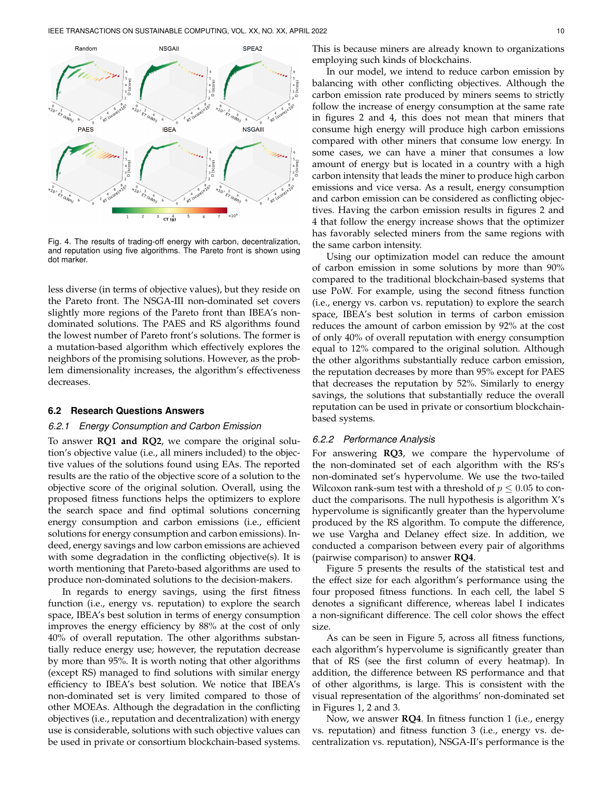

Fig. 4. The results of trading-off energy with carbon, decentralization, and reputation using five algorithms. The Pareto front is shown using dot marker.

less diverse (in terms of objective values), but they reside on the Pareto front. The NSGA-III non-dominated set covers slightly more regions of the Pareto front than IBEA's nondominated solutions. The PAES and RS algorithms found the lowest number of Pareto front's solutions. The former is a mutation-based algorithm which effectively explores the neighbors of the promising solutions. However, as the problem dimensionality increases, the algorithm's effectiveness decreases.

#### **6.2 Research Questions Answers**

#### *6.2.1 Energy Consumption and Carbon Emission*

To answer **RQ1 and RQ2**, we compare the original solution's objective value (i.e., all miners included) to the objective values of the solutions found using EAs. The reported results are the ratio of the objective score of a solution to the objective score of the original solution. Overall, using the proposed fitness functions helps the optimizers to explore the search space and find optimal solutions concerning energy consumption and carbon emissions (i.e., efficient solutions for energy consumption and carbon emissions). Indeed, energy savings and low carbon emissions are achieved with some degradation in the conflicting objective(s). It is worth mentioning that Pareto-based algorithms are used to produce non-dominated solutions to the decision-makers.

In regards to energy savings, using the first fitness function (i.e., energy vs. reputation) to explore the search space, IBEA's best solution in terms of energy consumption improves the energy efficiency by 88% at the cost of only 40% of overall reputation. The other algorithms substantially reduce energy use; however, the reputation decrease by more than 95%. It is worth noting that other algorithms (except RS) managed to find solutions with similar energy efficiency to IBEA's best solution. We notice that IBEA's non-dominated set is very limited compared to those of other MOEAs. Although the degradation in the conflicting objectives (i.e., reputation and decentralization) with energy use is considerable, solutions with such objective values can be used in private or consortium blockchain-based systems.

This is because miners are already known to organizations employing such kinds of blockchains.

In our model, we intend to reduce carbon emission by balancing with other conflicting objectives. Although the carbon emission rate produced by miners seems to strictly follow the increase of energy consumption at the same rate in figures 2 and 4, this does not mean that miners that consume high energy will produce high carbon emissions compared with other miners that consume low energy. In some cases, we can have a miner that consumes a low amount of energy but is located in a country with a high carbon intensity that leads the miner to produce high carbon emissions and vice versa. As a result, energy consumption and carbon emission can be considered as conflicting objectives. Having the carbon emission results in figures 2 and 4 that follow the energy increase shows that the optimizer has favorably selected miners from the same regions with the same carbon intensity.

Using our optimization model can reduce the amount of carbon emission in some solutions by more than 90% compared to the traditional blockchain-based systems that use PoW. For example, using the second fitness function (i.e., energy vs. carbon vs. reputation) to explore the search space, IBEA's best solution in terms of carbon emission reduces the amount of carbon emission by 92% at the cost of only 40% of overall reputation with energy consumption equal to 12% compared to the original solution. Although the other algorithms substantially reduce carbon emission, the reputation decreases by more than 95% except for PAES that decreases the reputation by 52%. Similarly to energy savings, the solutions that substantially reduce the overall reputation can be used in private or consortium blockchainbased systems.

#### *6.2.2 Performance Analysis*

For answering **RQ3**, we compare the hypervolume of the non-dominated set of each algorithm with the RS's non-dominated set's hypervolume. We use the two-tailed Wilcoxon rank-sum test with a threshold of  $p \leq 0.05$  to conduct the comparisons. The null hypothesis is algorithm X's hypervolume is significantly greater than the hypervolume produced by the RS algorithm. To compute the difference, we use Vargha and Delaney effect size. In addition, we conducted a comparison between every pair of algorithms (pairwise comparison) to answer **RQ4**.

Figure 5 presents the results of the statistical test and the effect size for each algorithm's performance using the four proposed fitness functions. In each cell, the label S denotes a significant difference, whereas label I indicates a non-significant difference. The cell color shows the effect size.

As can be seen in Figure 5, across all fitness functions, each algorithm's hypervolume is significantly greater than that of RS (see the first column of every heatmap). In addition, the difference between RS performance and that of other algorithms, is large. This is consistent with the visual representation of the algorithms' non-dominated set in Figures 1, 2 and 3.

Now, we answer **RQ4**. In fitness function 1 (i.e., energy vs. reputation) and fitness function 3 (i.e., energy vs. decentralization vs. reputation), NSGA-II's performance is the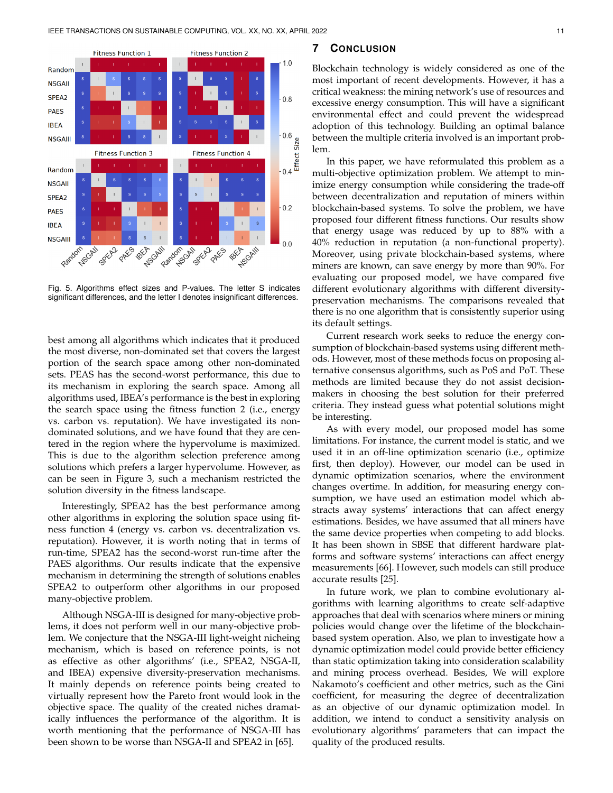

Fig. 5. Algorithms effect sizes and P-values. The letter S indicates significant differences, and the letter I denotes insignificant differences.

best among all algorithms which indicates that it produced the most diverse, non-dominated set that covers the largest portion of the search space among other non-dominated sets. PEAS has the second-worst performance, this due to its mechanism in exploring the search space. Among all algorithms used, IBEA's performance is the best in exploring the search space using the fitness function 2 (i.e., energy vs. carbon vs. reputation). We have investigated its nondominated solutions, and we have found that they are centered in the region where the hypervolume is maximized. This is due to the algorithm selection preference among solutions which prefers a larger hypervolume. However, as can be seen in Figure 3, such a mechanism restricted the solution diversity in the fitness landscape.

Interestingly, SPEA2 has the best performance among other algorithms in exploring the solution space using fitness function 4 (energy vs. carbon vs. decentralization vs. reputation). However, it is worth noting that in terms of run-time, SPEA2 has the second-worst run-time after the PAES algorithms. Our results indicate that the expensive mechanism in determining the strength of solutions enables SPEA2 to outperform other algorithms in our proposed many-objective problem.

Although NSGA-III is designed for many-objective problems, it does not perform well in our many-objective problem. We conjecture that the NSGA-III light-weight nicheing mechanism, which is based on reference points, is not as effective as other algorithms' (i.e., SPEA2, NSGA-II, and IBEA) expensive diversity-preservation mechanisms. It mainly depends on reference points being created to virtually represent how the Pareto front would look in the objective space. The quality of the created niches dramatically influences the performance of the algorithm. It is worth mentioning that the performance of NSGA-III has been shown to be worse than NSGA-II and SPEA2 in [65].

#### **7 CONCLUSION**

Blockchain technology is widely considered as one of the most important of recent developments. However, it has a critical weakness: the mining network's use of resources and excessive energy consumption. This will have a significant environmental effect and could prevent the widespread adoption of this technology. Building an optimal balance between the multiple criteria involved is an important problem.

In this paper, we have reformulated this problem as a multi-objective optimization problem. We attempt to minimize energy consumption while considering the trade-off between decentralization and reputation of miners within blockchain-based systems. To solve the problem, we have proposed four different fitness functions. Our results show that energy usage was reduced by up to 88% with a 40% reduction in reputation (a non-functional property). Moreover, using private blockchain-based systems, where miners are known, can save energy by more than 90%. For evaluating our proposed model, we have compared five different evolutionary algorithms with different diversitypreservation mechanisms. The comparisons revealed that there is no one algorithm that is consistently superior using its default settings.

Current research work seeks to reduce the energy consumption of blockchain-based systems using different methods. However, most of these methods focus on proposing alternative consensus algorithms, such as PoS and PoT. These methods are limited because they do not assist decisionmakers in choosing the best solution for their preferred criteria. They instead guess what potential solutions might be interesting.

As with every model, our proposed model has some limitations. For instance, the current model is static, and we used it in an off-line optimization scenario (i.e., optimize first, then deploy). However, our model can be used in dynamic optimization scenarios, where the environment changes overtime. In addition, for measuring energy consumption, we have used an estimation model which abstracts away systems' interactions that can affect energy estimations. Besides, we have assumed that all miners have the same device properties when competing to add blocks. It has been shown in SBSE that different hardware platforms and software systems' interactions can affect energy measurements [66]. However, such models can still produce accurate results [25].

In future work, we plan to combine evolutionary algorithms with learning algorithms to create self-adaptive approaches that deal with scenarios where miners or mining policies would change over the lifetime of the blockchainbased system operation. Also, we plan to investigate how a dynamic optimization model could provide better efficiency than static optimization taking into consideration scalability and mining process overhead. Besides, We will explore Nakamoto's coefficient and other metrics, such as the Gini coefficient, for measuring the degree of decentralization as an objective of our dynamic optimization model. In addition, we intend to conduct a sensitivity analysis on evolutionary algorithms' parameters that can impact the quality of the produced results.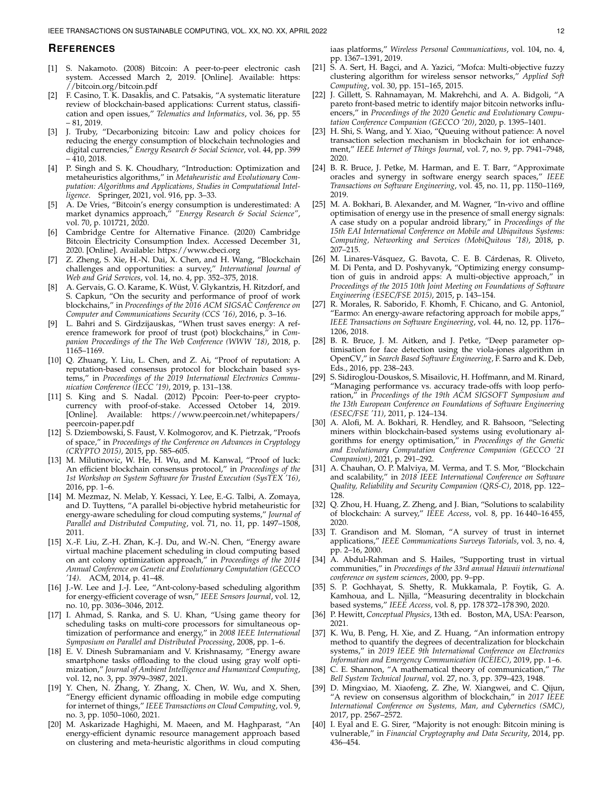#### **REFERENCES**

- [1] S. Nakamoto. (2008) Bitcoin: A peer-to-peer electronic cash system. Accessed March 2, 2019. [Online]. Available: https: //bitcoin.org/bitcoin.pdf
- [2] F. Casino, T. K. Dasaklis, and C. Patsakis, "A systematic literature review of blockchain-based applications: Current status, classification and open issues," *Telematics and Informatics*, vol. 36, pp. 55 – 81, 2019.
- [3] J. Truby, "Decarbonizing bitcoin: Law and policy choices for reducing the energy consumption of blockchain technologies and digital currencies," *Energy Research & Social Science*, vol. 44, pp. 399  $-$  410, 2018.
- [4] P. Singh and S. K. Choudhary, "Introduction: Optimization and metaheuristics algorithms," in *Metaheuristic and Evolutionary Computation: Algorithms and Applications, Studies in Computational Intelligence*. Springer, 2021, vol. 916, pp. 3–33.
- [5] A. De Vries, "Bitcoin's energy consumption is underestimated: A market dynamics approach," *"Energy Research & Social Science"*, vol. 70, p. 101721, 2020.
- [6] Cambridge Centre for Alternative Finance. (2020) Cambridge Bitcoin Electricity Consumption Index. Accessed December 31, 2020. [Online]. Available: https://www.cbeci.org
- Z. Zheng, S. Xie, H.-N. Dai, X. Chen, and H. Wang, "Blockchain challenges and opportunities: a survey," *International Journal of Web and Grid Services*, vol. 14, no. 4, pp. 352–375, 2018.
- [8] A. Gervais, G. O. Karame, K. Wüst, V. Glykantzis, H. Ritzdorf, and S. Capkun, "On the security and performance of proof of work blockchains," in *Proceedings of the 2016 ACM SIGSAC Conference on Computer and Communications Security (CCS '16)*, 2016, p. 3–16.
- L. Bahri and S. Girdzijauskas, "When trust saves energy: A reference framework for proof of trust (pot) blockchains," in *Companion Proceedings of the The Web Conference (WWW '18)*, 2018, p. 1165–1169.
- [10] Q. Zhuang, Y. Liu, L. Chen, and Z. Ai, "Proof of reputation: A reputation-based consensus protocol for blockchain based systems," in *Proceedings of the 2019 International Electronics Communication Conference (IECC '19)*, 2019, p. 131–138.
- [11] S. King and S. Nadal. (2012) Ppcoin: Peer-to-peer cryptocurrency with proof-of-stake. Accessed October 14, 2019. [Online]. Available: https://www.peercoin.net/whitepapers/ peercoin-paper.pdf
- [12] S. Dziembowski, S. Faust, V. Kolmogorov, and K. Pietrzak, "Proofs of space," in *Proceedings of the Conference on Advances in Cryptology (CRYPTO 2015)*, 2015, pp. 585–605.
- [13] M. Milutinovic, W. He, H. Wu, and M. Kanwal, "Proof of luck: An efficient blockchain consensus protocol," in *Proceedings of the 1st Workshop on System Software for Trusted Execution (SysTEX '16)*, 2016, pp. 1–6.
- [14] M. Mezmaz, N. Melab, Y. Kessaci, Y. Lee, E.-G. Talbi, A. Zomaya, and D. Tuyttens, "A parallel bi-objective hybrid metaheuristic for energy-aware scheduling for cloud computing systems," *Journal of Parallel and Distributed Computing*, vol. 71, no. 11, pp. 1497–1508, 2011.
- [15] X.-F. Liu, Z.-H. Zhan, K.-J. Du, and W.-N. Chen, "Energy aware virtual machine placement scheduling in cloud computing based on ant colony optimization approach," in *Proceedings of the 2014 Annual Conference on Genetic and Evolutionary Computation (GECCO '14)*. ACM, 2014, p. 41–48.
- [16] J.-W. Lee and J.-J. Lee, "Ant-colony-based scheduling algorithm for energy-efficient coverage of wsn," *IEEE Sensors Journal*, vol. 12, no. 10, pp. 3036–3046, 2012.
- [17] I. Ahmad, S. Ranka, and S. U. Khan, "Using game theory for scheduling tasks on multi-core processors for simultaneous optimization of performance and energy," in *2008 IEEE International Symposium on Parallel and Distributed Processing*, 2008, pp. 1–6.
- [18] E. V. Dinesh Subramaniam and V. Krishnasamy, "Energy aware smartphone tasks offloading to the cloud using gray wolf optimization," *Journal of Ambient Intelligence and Humanized Computing*, vol. 12, no. 3, pp. 3979–3987, 2021.
- [19] Y. Chen, N. Zhang, Y. Zhang, X. Chen, W. Wu, and X. Shen, "Energy efficient dynamic offloading in mobile edge computing for internet of things," *IEEE Transactions on Cloud Computing*, vol. 9, no. 3, pp. 1050–1060, 2021.
- [20] M. Askarizade Haghighi, M. Maeen, and M. Haghparast, "An energy-efficient dynamic resource management approach based on clustering and meta-heuristic algorithms in cloud computing

iaas platforms," *Wireless Personal Communications*, vol. 104, no. 4, pp. 1367–1391, 2019.

- [21] S. A. Sert, H. Bagci, and A. Yazici, "Mofca: Multi-objective fuzzy clustering algorithm for wireless sensor networks," *Applied Soft Computing*, vol. 30, pp. 151–165, 2015.
- [22] J. Gillett, S. Rahnamayan, M. Makrehchi, and A. A. Bidgoli, "A pareto front-based metric to identify major bitcoin networks influencers," in *Proceedings of the 2020 Genetic and Evolutionary Computation Conference Companion (GECCO '20)*, 2020, p. 1395–1401.
- [23] H. Shi, S. Wang, and Y. Xiao, "Queuing without patience: A novel transaction selection mechanism in blockchain for iot enhancement," *IEEE Internet of Things Journal*, vol. 7, no. 9, pp. 7941–7948, 2020.
- [24] B. R. Bruce, J. Petke, M. Harman, and E. T. Barr, "Approximate oracles and synergy in software energy search spaces," *IEEE Transactions on Software Engineering*, vol. 45, no. 11, pp. 1150–1169, 2019.
- [25] M. A. Bokhari, B. Alexander, and M. Wagner, "In-vivo and offline optimisation of energy use in the presence of small energy signals: A case study on a popular android library," in *Proceedings of the 15th EAI International Conference on Mobile and Ubiquitous Systems: Computing, Networking and Services (MobiQuitous '18)*, 2018, p. 207–215.
- [26] M. Linares-Vásquez, G. Bavota, C. E. B. Cárdenas, R. Oliveto, M. Di Penta, and D. Poshyvanyk, "Optimizing energy consumption of guis in android apps: A multi-objective approach," in *Proceedings of the 2015 10th Joint Meeting on Foundations of Software Engineering (ESEC/FSE 2015)*, 2015, p. 143–154.
- [27] R. Morales, R. Saborido, F. Khomh, F. Chicano, and G. Antoniol, "Earmo: An energy-aware refactoring approach for mobile apps," *IEEE Transactions on Software Engineering*, vol. 44, no. 12, pp. 1176– 1206, 2018.
- [28] B. R. Bruce, J. M. Aitken, and J. Petke, "Deep parameter optimisation for face detection using the viola-jones algorithm in OpenCV," in *Search Based Software Engineering*, F. Sarro and K. Deb, Eds., 2016, pp. 238–243.
- [29] S. Sidiroglou-Douskos, S. Misailovic, H. Hoffmann, and M. Rinard, "Managing performance vs. accuracy trade-offs with loop perforation," in *Proceedings of the 19th ACM SIGSOFT Symposium and the 13th European Conference on Foundations of Software Engineering (ESEC/FSE '11)*, 2011, p. 124–134.
- [30] A. Alofi, M. A. Bokhari, R. Hendley, and R. Bahsoon, "Selecting miners within blockchain-based systems using evolutionary algorithms for energy optimisation," in *Proceedings of the Genetic and Evolutionary Computation Conference Companion (GECCO '21 Companion)*, 2021, p. 291–292.
- [31] A. Chauhan, O. P. Malviya, M. Verma, and T. S. Mor, "Blockchain and scalability," in *2018 IEEE International Conference on Software Quality, Reliability and Security Companion (QRS-C)*, 2018, pp. 122– 128.
- [32] Q. Zhou, H. Huang, Z. Zheng, and J. Bian, "Solutions to scalability of blockchain: A survey," *IEEE Access*, vol. 8, pp. 16 440–16 455, 2020.
- [33] T. Grandison and M. Sloman, "A survey of trust in internet applications," *IEEE Communications Surveys Tutorials*, vol. 3, no. 4, pp. 2–16, 2000.
- [34] A. Abdul-Rahman and S. Hailes, "Supporting trust in virtual communities," in *Proceedings of the 33rd annual Hawaii international conference on system sciences*, 2000, pp. 9–pp.
- [35] S. P. Gochhayat, S. Shetty, R. Mukkamala, P. Foytik, G. A. Kamhoua, and L. Njilla, "Measuring decentrality in blockchain based systems," *IEEE Access*, vol. 8, pp. 178 372–178 390, 2020.
- [36] P. Hewitt, *Conceptual Physics*, 13th ed. Boston, MA, USA: Pearson, 2021.
- [37] K. Wu, B. Peng, H. Xie, and Z. Huang, "An information entropy method to quantify the degrees of decentralization for blockchain systems," in *2019 IEEE 9th International Conference on Electronics Information and Emergency Communication (ICEIEC)*, 2019, pp. 1–6.
- [38] C. E. Shannon, "A mathematical theory of communication," *The Bell System Technical Journal*, vol. 27, no. 3, pp. 379–423, 1948.
- [39] D. Mingxiao, M. Xiaofeng, Z. Zhe, W. Xiangwei, and C. Qijun, "A review on consensus algorithm of blockchain," in *2017 IEEE International Conference on Systems, Man, and Cybernetics (SMC)*, 2017, pp. 2567–2572.
- [40] I. Eyal and E. G. Sirer, "Majority is not enough: Bitcoin mining is vulnerable," in *Financial Cryptography and Data Security*, 2014, pp. 436–454.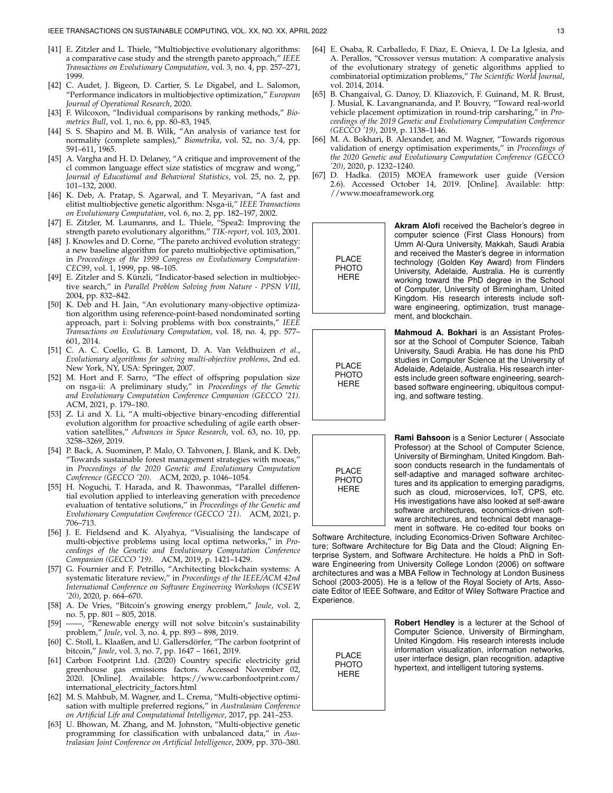- [41] E. Zitzler and L. Thiele, "Multiobjective evolutionary algorithms: a comparative case study and the strength pareto approach," *IEEE Transactions on Evolutionary Computation*, vol. 3, no. 4, pp. 257–271, 1999.
- [42] C. Audet, J. Bigeon, D. Cartier, S. Le Digabel, and L. Salomon, "Performance indicators in multiobjective optimization," *European Journal of Operational Research*, 2020.
- [43] F. Wilcoxon, "Individual comparisons by ranking methods," *Biometrics Bull*, vol. 1, no. 6, pp. 80–83, 1945.
- [44] S. S. Shapiro and M. B. Wilk, "An analysis of variance test for normality (complete samples)," *Biometrika*, vol. 52, no. 3/4, pp. 591–611, 1965.
- [45] A. Vargha and H. D. Delaney, "A critique and improvement of the cl common language effect size statistics of mcgraw and wong," *Journal of Educational and Behavioral Statistics*, vol. 25, no. 2, pp. 101–132, 2000.
- [46] K. Deb, A. Pratap, S. Agarwal, and T. Meyarivan, "A fast and elitist multiobjective genetic algorithm: Nsga-ii," *IEEE Transactions on Evolutionary Computation*, vol. 6, no. 2, pp. 182–197, 2002.
- [47] E. Zitzler, M. Laumanns, and L. Thiele, "Spea2: Improving the strength pareto evolutionary algorithm," *TIK-report*, vol. 103, 2001.
- [48] J. Knowles and D. Corne, "The pareto archived evolution strategy: a new baseline algorithm for pareto multiobjective optimisation, in *Proceedings of the 1999 Congress on Evolutionary Computation-CEC99*, vol. 1, 1999, pp. 98–105.
- [49] E. Zitzler and S. Künzli, "Indicator-based selection in multiobjective search," in *Parallel Problem Solving from Nature - PPSN VIII*, 2004, pp. 832–842.
- [50] K. Deb and H. Jain, "An evolutionary many-objective optimization algorithm using reference-point-based nondominated sorting approach, part i: Solving problems with box constraints," *IEEE Transactions on Evolutionary Computation*, vol. 18, no. 4, pp. 577– 601, 2014.
- [51] C. A. C. Coello, G. B. Lamont, D. A. Van Veldhuizen *et al.*, *Evolutionary algorithms for solving multi-objective problems*, 2nd ed. New York, NY, USA: Springer, 2007.
- [52] M. Hort and F. Sarro, "The effect of offspring population size on nsga-ii: A preliminary study," in *Proceedings of the Genetic and Evolutionary Computation Conference Companion (GECCO '21)*. ACM, 2021, p. 179–180.
- [53] Z. Li and X. Li, "A multi-objective binary-encoding differential evolution algorithm for proactive scheduling of agile earth observation satellites," *Advances in Space Research*, vol. 63, no. 10, pp. 3258–3269, 2019.
- [54] P. Back, A. Suominen, P. Malo, O. Tahvonen, J. Blank, and K. Deb, "Towards sustainable forest management strategies with moeas," in *Proceedings of the 2020 Genetic and Evolutionary Computation Conference (GECCO '20)*. ACM, 2020, p. 1046–1054.
- [55] H. Noguchi, T. Harada, and R. Thawonmas, "Parallel differential evolution applied to interleaving generation with precedence evaluation of tentative solutions," in *Proceedings of the Genetic and Evolutionary Computation Conference (GECCO '21)*. ACM, 2021, p. 706–713.
- [56] J. E. Fieldsend and K. Alyahya, "Visualising the landscape of multi-objective problems using local optima networks," in *Proceedings of the Genetic and Evolutionary Computation Conference Companion (GECCO '19)*. ACM, 2019, p. 1421–1429.
- [57] G. Fournier and F. Petrillo, "Architecting blockchain systems: A systematic literature review," in *Proceedings of the IEEE/ACM 42nd International Conference on Software Engineering Workshops (ICSEW '20)*, 2020, p. 664–670.
- [58] A. De Vries, "Bitcoin's growing energy problem," *Joule*, vol. 2, no. 5, pp. 801 – 805, 2018.
- [59] ——, "Renewable energy will not solve bitcoin's sustainability problem," *Joule*, vol. 3, no. 4, pp. 893 – 898, 2019.
- [60] C. Stoll, L. Klaaßen, and U. Gallersdörfer, "The carbon footprint of bitcoin," *Joule*, vol. 3, no. 7, pp. 1647 – 1661, 2019.
- [61] Carbon Footprint Ltd. (2020) Country specific electricity grid greenhouse gas emissions factors. Accessed November 02, 2020. [Online]. Available: https://www.carbonfootprint.com/ international electricity factors.html
- [62] M. S. Mahbub, M. Wagner, and L. Crema, "Multi-objective optimisation with multiple preferred regions," in *Australasian Conference on Artificial Life and Computational Intelligence*, 2017, pp. 241–253.
- [63] U. Bhowan, M. Zhang, and M. Johnston, "Multi-objective genetic programming for classification with unbalanced data," in *Australasian Joint Conference on Artificial Intelligence*, 2009, pp. 370–380.
- [64] E. Osaba, R. Carballedo, F. Diaz, E. Onieva, I. De La Iglesia, and A. Perallos, "Crossover versus mutation: A comparative analysis of the evolutionary strategy of genetic algorithms applied to combinatorial optimization problems," *The Scientific World Journal*, vol. 2014, 2014.
- [65] B. Changaival, G. Danoy, D. Kliazovich, F. Guinand, M. R. Brust, J. Musial, K. Lavangnananda, and P. Bouvry, "Toward real-world vehicle placement optimization in round-trip carsharing," in *Proceedings of the 2019 Genetic and Evolutionary Computation Conference (GECCO '19)*, 2019, p. 1138–1146.
- [66] M. A. Bokhari, B. Alexander, and M. Wagner, "Towards rigorous validation of energy optimisation experiments," in *Proceedings of the 2020 Genetic and Evolutionary Computation Conference (GECCO '20)*, 2020, p. 1232–1240.
- [67] D. Hadka. (2015) MOEA framework user guide (Version 2.6). Accessed October 14, 2019. [Online]. Available: http: //www.moeaframework.org



**Akram Alofi** received the Bachelor's degree in computer science (First Class Honours) from Umm Al-Qura University, Makkah, Saudi Arabia and received the Master's degree in information technology (Golden Key Award) from Flinders University, Adelaide, Australia. He is currently working toward the PhD degree in the School of Computer, University of Birmingham, United Kingdom. His research interests include software engineering, optimization, trust management, and blockchain.

PLACE PHOTO HERE

**Mahmoud A. Bokhari** is an Assistant Professor at the School of Computer Science, Taibah University, Saudi Arabia. He has done his PhD studies in Computer Science at the University of Adelaide, Adelaide, Australia. His research interests include green software engineering, searchbased software engineering, ubiquitous computing, and software testing.



**Rami Bahsoon** is a Senior Lecturer ( Associate Professor) at the School of Computer Science, University of Birmingham, United Kingdom. Bahsoon conducts research in the fundamentals of self-adaptive and managed software architectures and its application to emerging paradigms, such as cloud, microservices, IoT, CPS, etc. His investigations have also looked at self-aware software architectures, economics-driven software architectures, and technical debt management in software. He co-edited four books on

Software Architecture, including Economics-Driven Software Architecture; Software Architecture for Big Data and the Cloud; Aligning Enterprise System, and Software Architecture. He holds a PhD in Software Engineering from University College London (2006) on software architectures and was a MBA Fellow in Technology at London Business School (2003-2005). He is a fellow of the Royal Society of Arts, Associate Editor of IEEE Software, and Editor of Wiley Software Practice and Experience.



**Robert Hendley** is a lecturer at the School of Computer Science, University of Birmingham, United Kingdom. His research interests include information visualization, information networks, user interface design, plan recognition, adaptive hypertext, and intelligent tutoring systems.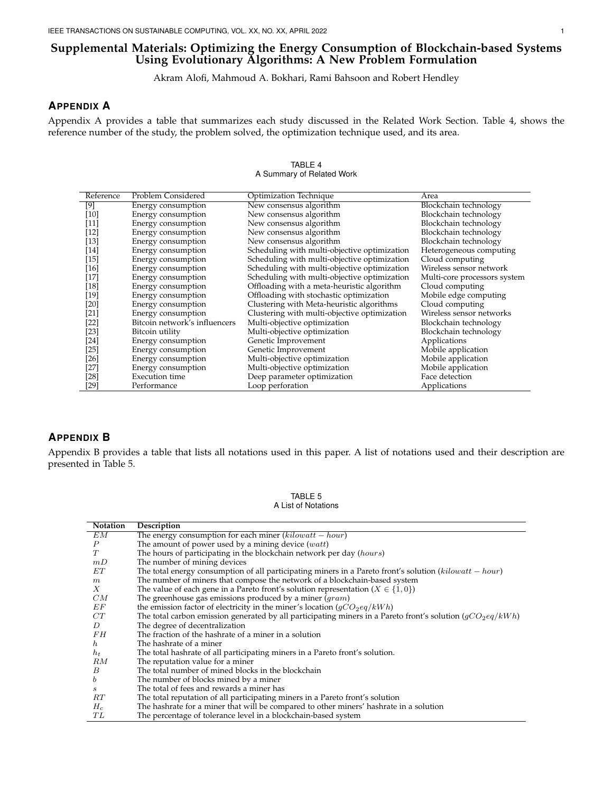#### **Supplemental Materials: Optimizing the Energy Consumption of Blockchain-based Systems Using Evolutionary Algorithms: A New Problem Formulation**

Akram Alofi, Mahmoud A. Bokhari, Rami Bahsoon and Robert Hendley

#### **APPENDIX A**

Appendix A provides a table that summarizes each study discussed in the Related Work Section. Table 4, shows the reference number of the study, the problem solved, the optimization technique used, and its area.

| Reference | Problem Considered            | Optimization Technique                       | Area                         |
|-----------|-------------------------------|----------------------------------------------|------------------------------|
| [9]       | Energy consumption            | New consensus algorithm                      | Blockchain technology        |
| [10]      | Energy consumption            | New consensus algorithm                      | Blockchain technology        |
| $[11]$    | Energy consumption            | New consensus algorithm                      | Blockchain technology        |
| $[12]$    | Energy consumption            | New consensus algorithm                      | Blockchain technology        |
| [13]      | Energy consumption            | New consensus algorithm                      | Blockchain technology        |
| $[14]$    | Energy consumption            | Scheduling with multi-objective optimization | Heterogeneous computing      |
| $[15]$    | Energy consumption            | Scheduling with multi-objective optimization | Cloud computing              |
| [16]      | Energy consumption            | Scheduling with multi-objective optimization | Wireless sensor network      |
| $[17]$    | Energy consumption            | Scheduling with multi-objective optimization | Multi-core processors system |
| [18]      | Energy consumption            | Offloading with a meta-heuristic algorithm   | Cloud computing              |
| $[19]$    | Energy consumption            | Offloading with stochastic optimization      | Mobile edge computing        |
| [20]      | Energy consumption            | Clustering with Meta-heuristic algorithms    | Cloud computing              |
| $[21]$    | Energy consumption            | Clustering with multi-objective optimization | Wireless sensor networks     |
| [22]      | Bitcoin network's influencers | Multi-objective optimization                 | Blockchain technology        |
| [23]      | Bitcoin utility               | Multi-objective optimization                 | Blockchain technology        |
| [24]      | Energy consumption            | Genetic Improvement                          | Applications                 |
| [25]      | Energy consumption            | Genetic Improvement                          | Mobile application           |
| [26]      | Energy consumption            | Multi-objective optimization                 | Mobile application           |
| [27]      | Energy consumption            | Multi-objective optimization                 | Mobile application           |
| [28]      | <b>Execution</b> time         | Deep parameter optimization                  | Face detection               |
| [29]      | Performance                   | Loop perforation                             | Applications                 |

#### TABLE 4 A Summary of Related Work

#### **APPENDIX B**

Appendix B provides a table that lists all notations used in this paper. A list of notations used and their description are presented in Table 5.

> TABLE 5 A List of Notations

| Notation         | Description                                                                                                  |
|------------------|--------------------------------------------------------------------------------------------------------------|
| EМ               | The energy consumption for each miner $(kilowatt - hour)$                                                    |
| $\boldsymbol{P}$ | The amount of power used by a mining device $(watt)$                                                         |
| T                | The hours of participating in the blockchain network per day (hours)                                         |
| mD               | The number of mining devices                                                                                 |
| EТ               | The total energy consumption of all participating miners in a Pareto front's solution ( $kilowatt - hour$ )  |
| m                | The number of miners that compose the network of a blockchain-based system                                   |
| X                | The value of each gene in a Pareto front's solution representation ( $X \in \{1,0\}$ )                       |
| CM               | The greenhouse gas emissions produced by a miner $(gram)$                                                    |
| ΕF               | the emission factor of electricity in the miner's location $(gCO_2eq/kWh)$                                   |
| CT               | The total carbon emission generated by all participating miners in a Pareto front's solution $(gCO_2eq/kWh)$ |
| D                | The degree of decentralization                                                                               |
| FН               | The fraction of the hashrate of a miner in a solution                                                        |
| $h_{\cdot}$      | The hashrate of a miner                                                                                      |
| $h_t$            | The total hashrate of all participating miners in a Pareto front's solution.                                 |
| RM               | The reputation value for a miner                                                                             |
| B                | The total number of mined blocks in the blockchain                                                           |
| b                | The number of blocks mined by a miner                                                                        |
| s                | The total of fees and rewards a miner has                                                                    |
| RT               | The total reputation of all participating miners in a Pareto front's solution                                |
| $H_c$            | The hashrate for a miner that will be compared to other miners' hashrate in a solution                       |
| TL               | The percentage of tolerance level in a blockchain-based system                                               |